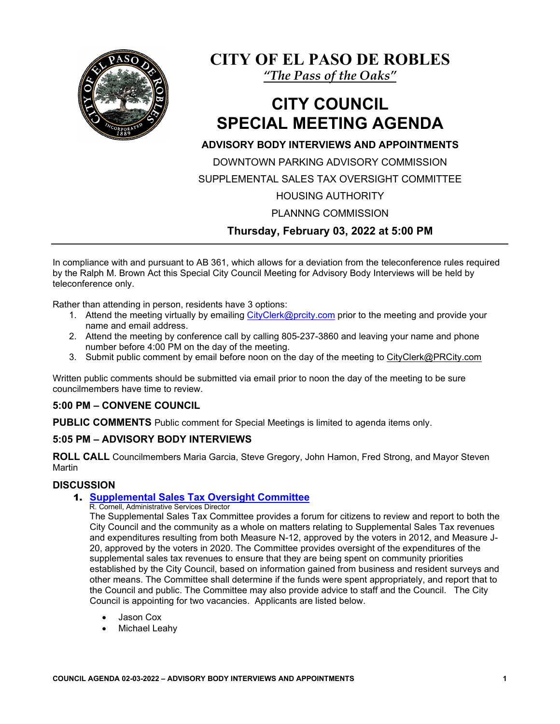

**CITY OF EL PASO DE ROBLES**

*"The Pass of the Oaks"*

# **CITY COUNCIL SPECIAL MEETING AGENDA**

# **ADVISORY BODY INTERVIEWS AND APPOINTMENTS**

DOWNTOWN PARKING ADVISORY COMMISSION SUPPLEMENTAL SALES TAX OVERSIGHT COMMITTEE

# HOUSING AUTHORITY

PLANNNG COMMISSION

**Thursday, February 03, 2022 at 5:00 PM**

In compliance with and pursuant to AB 361, which allows for a deviation from the teleconference rules required by the Ralph M. Brown Act this Special City Council Meeting for Advisory Body Interviews will be held by teleconference only.

Rather than attending in person, residents have 3 options:

- 1. Attend the meeting virtually by emailing [CityClerk@prcity.com](mailto:CityClerk@prcity.com) prior to the meeting and provide your name and email address.
- 2. Attend the meeting by conference call by calling 805-237-3860 and leaving your name and phone number before 4:00 PM on the day of the meeting.
- 3. Submit public comment by email before noon on the day of the meeting to [CityC](mailto:LibraryBoardMeeting@prcity.com)lerk@PRCity.com

Written public comments should be submitted via email prior to noon the day of the meeting to be sure councilmembers have time to review.

## **5:00 PM – CONVENE COUNCIL**

**PUBLIC COMMENTS** Public comment for Special Meetings is limited to agenda items only.

## **5:05 PM – ADVISORY BODY INTERVIEWS**

**ROLL CALL** Councilmembers Maria Garcia, Steve Gregory, John Hamon, Fred Strong, and Mayor Steven Martin

## **DISCUSSION**

## 1. **[Supplemental Sales Tax Oversight Committee](https://www.prcity.com/DocumentCenter/View/33116/February-3-2022-City-Council-Special-Agenda-Item-01-PDF)**

R. Cornell, Administrative Services Director

The Supplemental Sales Tax Committee provides a forum for citizens to review and report to both the City Council and the community as a whole on matters relating to Supplemental Sales Tax revenues and expenditures resulting from both Measure N-12, approved by the voters in 2012, and Measure J-20, approved by the voters in 2020. The Committee provides oversight of the expenditures of the supplemental sales tax revenues to ensure that they are being spent on community priorities established by the City Council, based on information gained from business and resident surveys and other means. The Committee shall determine if the funds were spent appropriately, and report that to the Council and public. The Committee may also provide advice to staff and the Council. The City Council is appointing for two vacancies. Applicants are listed below.

- Jason Cox
- **Michael Leahy**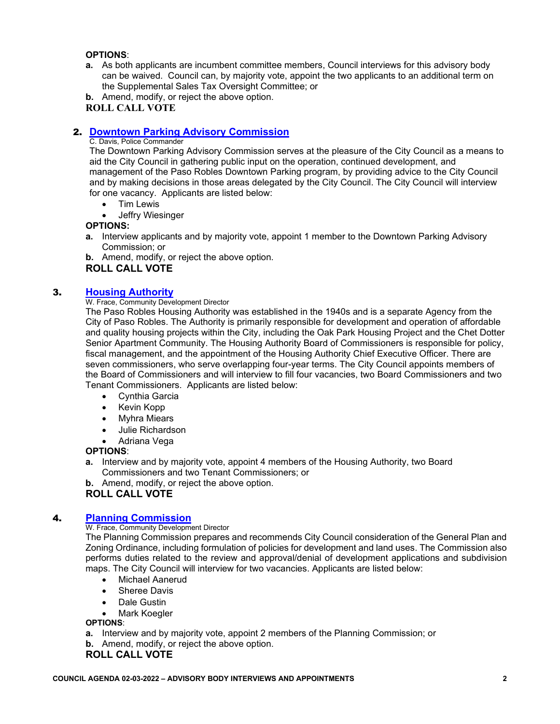#### **OPTIONS**:

**a.** As both applicants are incumbent committee members, Council interviews for this advisory body can be waived. Council can, by majority vote, appoint the two applicants to an additional term on the Supplemental Sales Tax Oversight Committee; or

**b.** Amend, modify, or reject the above option. **ROLL CALL VOTE**

## 2. **[Downtown Parking Advisory Commission](https://www.prcity.com/DocumentCenter/View/33117/February-3-2022-City-Council-Special-Agenda-Item-02-PDF)**

#### C. Davis, Police Commander

The Downtown Parking Advisory Commission serves at the pleasure of the City Council as a means to aid the City Council in gathering public input on the operation, continued development, and management of the Paso Robles Downtown Parking program, by providing advice to the City Council and by making decisions in those areas delegated by the City Council. The City Council will interview for one vacancy. Applicants are listed below:

- Tim Lewis
- **Jeffry Wiesinger**

#### **OPTIONS:**

**a.** Interview applicants and by majority vote, appoint 1 member to the Downtown Parking Advisory Commission; or

**b.** Amend, modify, or reject the above option.

#### **ROLL CALL VOTE**

#### 3. **[Housing Authority](https://www.prcity.com/DocumentCenter/View/33118/February-3-2022-City-Council-Special-Agenda-Item-03-PDF)**

#### W. Frace, Community Development Director

The Paso Robles Housing Authority was established in the 1940s and is a separate Agency from the City of Paso Robles. The Authority is primarily responsible for development and operation of affordable and quality housing projects within the City, including the Oak Park Housing Project and the Chet Dotter Senior Apartment Community. The Housing Authority Board of Commissioners is responsible for policy, fiscal management, and the appointment of the Housing Authority Chief Executive Officer. There are seven commissioners, who serve overlapping four-year terms. The City Council appoints members of the Board of Commissioners and will interview to fill four vacancies, two Board Commissioners and two Tenant Commissioners. Applicants are listed below:

- Cynthia Garcia
- Kevin Kopp
- Myhra Miears
- Julie Richardson
- Adriana Vega

#### **OPTIONS**:

**a.** Interview and by majority vote, appoint 4 members of the Housing Authority, two Board Commissioners and two Tenant Commissioners; or

**b.** Amend, modify, or reject the above option.

#### **ROLL CALL VOTE**

#### 4. **[Planning Commission](https://www.prcity.com/DocumentCenter/View/33119/February-3-2022-City-Council-Special-Agenda-Item-04-PDF)**

#### W. Frace, Community Development Director

The Planning Commission prepares and recommends City Council consideration of the General Plan and Zoning Ordinance, including formulation of policies for development and land uses. The Commission also performs duties related to the review and approval/denial of development applications and subdivision maps. The City Council will interview for two vacancies. Applicants are listed below:

- Michael Aanerud
- Sheree Davis
- Dale Gustin
- **Mark Koegler**

#### **OPTIONS**:

- **a.** Interview and by majority vote, appoint 2 members of the Planning Commission; or
- **b.** Amend, modify, or reject the above option.

#### **ROLL CALL VOTE**